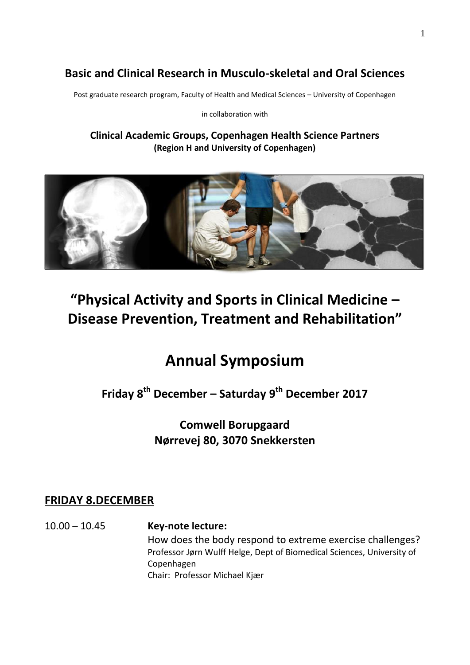## **Basic and Clinical Research in Musculo-skeletal and Oral Sciences**

Post graduate research program, Faculty of Health and Medical Sciences – University of Copenhagen

in collaboration with

**Clinical Academic Groups, Copenhagen Health Science Partners (Region H and University of Copenhagen)**



# **"Physical Activity and Sports in Clinical Medicine – Disease Prevention, Treatment and Rehabilitation"**

# **Annual Symposium**

**Friday 8 th December – Saturday 9 th December 2017**

**Comwell Borupgaard Nørrevej 80, 3070 Snekkersten**

#### **FRIDAY 8.DECEMBER**

10.00 – 10.45 **Key-note lecture:** How does the body respond to extreme exercise challenges? Professor Jørn Wulff Helge, Dept of Biomedical Sciences, University of Copenhagen Chair: Professor Michael Kjær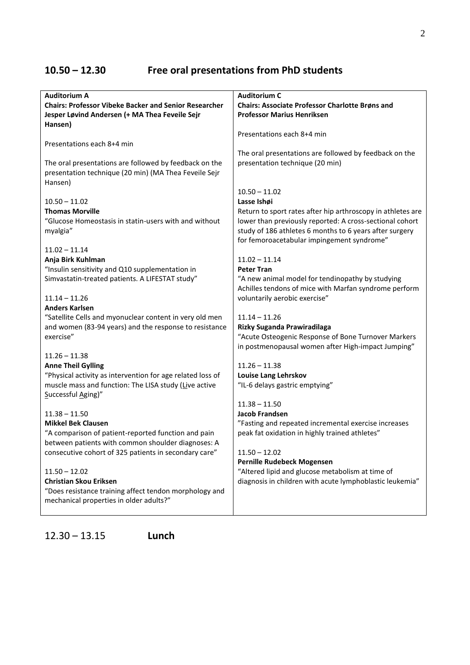# **10.50 – 12.30 Free oral presentations from PhD students**

| <b>Auditorium A</b>                                          | <b>Auditorium C</b>                                         |
|--------------------------------------------------------------|-------------------------------------------------------------|
| <b>Chairs: Professor Vibeke Backer and Senior Researcher</b> | <b>Chairs: Associate Professor Charlotte Brøns and</b>      |
| Jesper Løvind Andersen (+ MA Thea Feveile Sejr               | <b>Professor Marius Henriksen</b>                           |
| Hansen)                                                      |                                                             |
|                                                              | Presentations each 8+4 min                                  |
| Presentations each 8+4 min                                   |                                                             |
|                                                              |                                                             |
|                                                              | The oral presentations are followed by feedback on the      |
| The oral presentations are followed by feedback on the       | presentation technique (20 min)                             |
| presentation technique (20 min) (MA Thea Feveile Sejr        |                                                             |
| Hansen)                                                      |                                                             |
|                                                              | $10.50 - 11.02$                                             |
| $10.50 - 11.02$                                              | Lasse Ishøi                                                 |
| <b>Thomas Morville</b>                                       | Return to sport rates after hip arthroscopy in athletes are |
| "Glucose Homeostasis in statin-users with and without        | lower than previously reported: A cross-sectional cohort    |
| myalgia"                                                     | study of 186 athletes 6 months to 6 years after surgery     |
|                                                              | for femoroacetabular impingement syndrome"                  |
|                                                              |                                                             |
| $11.02 - 11.14$                                              |                                                             |
| Anja Birk Kuhlman                                            | $11.02 - 11.14$                                             |
| "Insulin sensitivity and Q10 supplementation in              | <b>Peter Tran</b>                                           |
| Simvastatin-treated patients. A LIFESTAT study"              | "A new animal model for tendinopathy by studying            |
|                                                              | Achilles tendons of mice with Marfan syndrome perform       |
| $11.14 - 11.26$                                              | voluntarily aerobic exercise"                               |
| <b>Anders Karlsen</b>                                        |                                                             |
| "Satellite Cells and myonuclear content in very old men      | $11.14 - 11.26$                                             |
| and women (83-94 years) and the response to resistance       | Rizky Suganda Prawiradilaga                                 |
| exercise"                                                    | "Acute Osteogenic Response of Bone Turnover Markers         |
|                                                              | in postmenopausal women after High-impact Jumping"          |
| $11.26 - 11.38$                                              |                                                             |
| <b>Anne Theil Gylling</b>                                    | $11.26 - 11.38$                                             |
|                                                              |                                                             |
| "Physical activity as intervention for age related loss of   | Louise Lang Lehrskov                                        |
| muscle mass and function: The LISA study (Live active        | "IL-6 delays gastric emptying"                              |
| Successful Aging)"                                           |                                                             |
|                                                              | $11.38 - 11.50$                                             |
| $11.38 - 11.50$                                              | <b>Jacob Frandsen</b>                                       |
| <b>Mikkel Bek Clausen</b>                                    | "Fasting and repeated incremental exercise increases        |
| "A comparison of patient-reported function and pain          | peak fat oxidation in highly trained athletes"              |
| between patients with common shoulder diagnoses: A           |                                                             |
| consecutive cohort of 325 patients in secondary care"        | $11.50 - 12.02$                                             |
|                                                              | Pernille Rudebeck Mogensen                                  |
| $11.50 - 12.02$                                              | "Altered lipid and glucose metabolism at time of            |
| <b>Christian Skou Eriksen</b>                                | diagnosis in children with acute lymphoblastic leukemia"    |
| "Does resistance training affect tendon morphology and       |                                                             |
| mechanical properties in older adults?"                      |                                                             |
|                                                              |                                                             |
|                                                              |                                                             |

2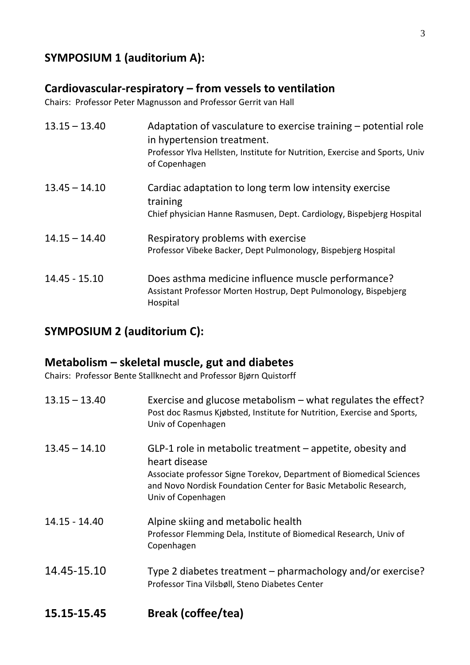## **SYMPOSIUM 1 (auditorium A):**

#### **Cardiovascular-respiratory – from vessels to ventilation**

Chairs: Professor Peter Magnusson and Professor Gerrit van Hall

| $13.15 - 13.40$ | Adaptation of vasculature to exercise training – potential role<br>in hypertension treatment.<br>Professor Ylva Hellsten, Institute for Nutrition, Exercise and Sports, Univ<br>of Copenhagen |
|-----------------|-----------------------------------------------------------------------------------------------------------------------------------------------------------------------------------------------|
| $13.45 - 14.10$ | Cardiac adaptation to long term low intensity exercise<br>training<br>Chief physician Hanne Rasmusen, Dept. Cardiology, Bispebjerg Hospital                                                   |
| $14.15 - 14.40$ | Respiratory problems with exercise<br>Professor Vibeke Backer, Dept Pulmonology, Bispebjerg Hospital                                                                                          |
| $14.45 - 15.10$ | Does asthma medicine influence muscle performance?<br>Assistant Professor Morten Hostrup, Dept Pulmonology, Bispebjerg<br>Hospital                                                            |

### **SYMPOSIUM 2 (auditorium C):**

## **Metabolism – skeletal muscle, gut and diabetes**

Chairs: Professor Bente Stallknecht and Professor Bjørn Quistorff

| 15.15-15.45     | <b>Break (coffee/tea)</b>                                                                                                                                                                                                                    |
|-----------------|----------------------------------------------------------------------------------------------------------------------------------------------------------------------------------------------------------------------------------------------|
| 14.45-15.10     | Type 2 diabetes treatment – pharmachology and/or exercise?<br>Professor Tina Vilsbøll, Steno Diabetes Center                                                                                                                                 |
| 14.15 - 14.40   | Alpine skiing and metabolic health<br>Professor Flemming Dela, Institute of Biomedical Research, Univ of<br>Copenhagen                                                                                                                       |
| $13.45 - 14.10$ | GLP-1 role in metabolic treatment - appetite, obesity and<br>heart disease<br>Associate professor Signe Torekov, Department of Biomedical Sciences<br>and Novo Nordisk Foundation Center for Basic Metabolic Research,<br>Univ of Copenhagen |
| $13.15 - 13.40$ | Exercise and glucose metabolism $-$ what regulates the effect?<br>Post doc Rasmus Kjøbsted, Institute for Nutrition, Exercise and Sports,<br>Univ of Copenhagen                                                                              |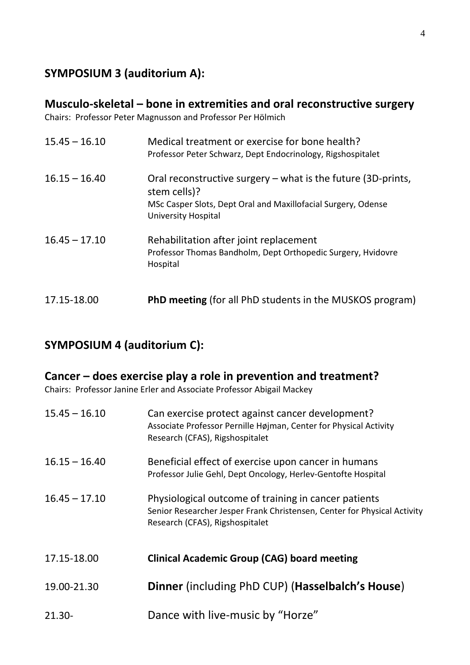### **SYMPOSIUM 3 (auditorium A):**

#### **Musculo-skeletal – bone in extremities and oral reconstructive surgery**

Chairs: Professor Peter Magnusson and Professor Per Hölmich

| $15.45 - 16.10$ | Medical treatment or exercise for bone health?<br>Professor Peter Schwarz, Dept Endocrinology, Rigshospitalet                                                          |
|-----------------|------------------------------------------------------------------------------------------------------------------------------------------------------------------------|
| $16.15 - 16.40$ | Oral reconstructive surgery $-$ what is the future (3D-prints,<br>stem cells)?<br>MSc Casper Slots, Dept Oral and Maxillofacial Surgery, Odense<br>University Hospital |
| $16.45 - 17.10$ | Rehabilitation after joint replacement<br>Professor Thomas Bandholm, Dept Orthopedic Surgery, Hvidovre<br>Hospital                                                     |
| 17.15-18.00     | <b>PhD meeting</b> (for all PhD students in the MUSKOS program)                                                                                                        |

## **SYMPOSIUM 4 (auditorium C):**

#### **Cancer – does exercise play a role in prevention and treatment?**

Chairs: Professor Janine Erler and Associate Professor Abigail Mackey

| $15.45 - 16.10$ | Can exercise protect against cancer development?<br>Associate Professor Pernille Højman, Center for Physical Activity<br>Research (CFAS), Rigshospitalet            |
|-----------------|---------------------------------------------------------------------------------------------------------------------------------------------------------------------|
| $16.15 - 16.40$ | Beneficial effect of exercise upon cancer in humans<br>Professor Julie Gehl, Dept Oncology, Herlev-Gentofte Hospital                                                |
| $16.45 - 17.10$ | Physiological outcome of training in cancer patients<br>Senior Researcher Jesper Frank Christensen, Center for Physical Activity<br>Research (CFAS), Rigshospitalet |
| 17.15-18.00     | <b>Clinical Academic Group (CAG) board meeting</b>                                                                                                                  |
| 19.00-21.30     | Dinner (including PhD CUP) (Hasselbalch's House)                                                                                                                    |
| $21.30 -$       | Dance with live-music by "Horze"                                                                                                                                    |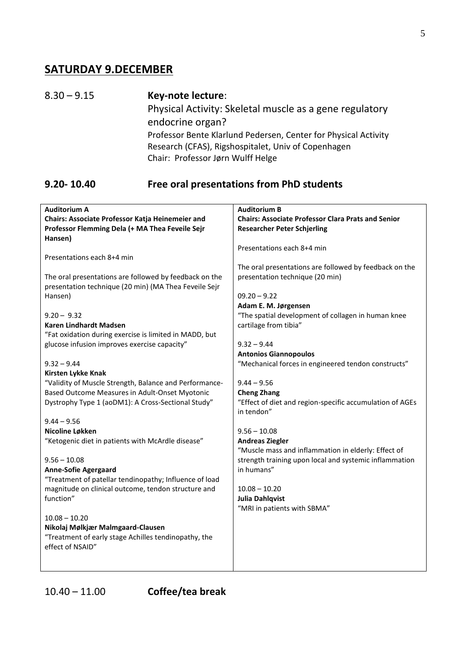#### **SATURDAY 9.DECEMBER**

8.30 – 9.15 **Key-note lecture**: Physical Activity: Skeletal muscle as a gene regulatory endocrine organ? Professor Bente Klarlund Pedersen, Center for Physical Activity Research (CFAS), Rigshospitalet, Univ of Copenhagen Chair: Professor Jørn Wulff Helge

#### **9.20- 10.40 Free oral presentations from PhD students**

|                                                        | <b>Auditorium B</b>                                       |
|--------------------------------------------------------|-----------------------------------------------------------|
| <b>Auditorium A</b>                                    |                                                           |
| Chairs: Associate Professor Katja Heinemeier and       | <b>Chairs: Associate Professor Clara Prats and Senior</b> |
| Professor Flemming Dela (+ MA Thea Feveile Sejr        | <b>Researcher Peter Schjerling</b>                        |
| Hansen)                                                |                                                           |
|                                                        | Presentations each 8+4 min                                |
| Presentations each 8+4 min                             |                                                           |
|                                                        | The oral presentations are followed by feedback on the    |
|                                                        |                                                           |
| The oral presentations are followed by feedback on the | presentation technique (20 min)                           |
| presentation technique (20 min) (MA Thea Feveile Sejr  |                                                           |
| Hansen)                                                | $09.20 - 9.22$                                            |
|                                                        | Adam E. M. Jørgensen                                      |
| $9.20 - 9.32$                                          | "The spatial development of collagen in human knee        |
| Karen Lindhardt Madsen                                 | cartilage from tibia"                                     |
| "Fat oxidation during exercise is limited in MADD, but |                                                           |
| glucose infusion improves exercise capacity"           | $9.32 - 9.44$                                             |
|                                                        |                                                           |
|                                                        | <b>Antonios Giannopoulos</b>                              |
| $9.32 - 9.44$                                          | "Mechanical forces in engineered tendon constructs"       |
| Kirsten Lykke Knak                                     |                                                           |
| "Validity of Muscle Strength, Balance and Performance- | $9.44 - 9.56$                                             |
| Based Outcome Measures in Adult-Onset Myotonic         | <b>Cheng Zhang</b>                                        |
| Dystrophy Type 1 (aoDM1): A Cross-Sectional Study"     | "Effect of diet and region-specific accumulation of AGEs  |
|                                                        | in tendon"                                                |
| $9.44 - 9.56$                                          |                                                           |
| Nicoline Løkken                                        |                                                           |
|                                                        | $9.56 - 10.08$                                            |
| "Ketogenic diet in patients with McArdle disease"      | <b>Andreas Ziegler</b>                                    |
|                                                        | "Muscle mass and inflammation in elderly: Effect of       |
| $9.56 - 10.08$                                         | strength training upon local and systemic inflammation    |
| <b>Anne-Sofie Agergaard</b>                            | in humans"                                                |
| "Treatment of patellar tendinopathy; Influence of load |                                                           |
| magnitude on clinical outcome, tendon structure and    | $10.08 - 10.20$                                           |
| function"                                              | <b>Julia Dahlqvist</b>                                    |
|                                                        |                                                           |
|                                                        | "MRI in patients with SBMA"                               |
| $10.08 - 10.20$                                        |                                                           |
| Nikolaj Mølkjær Malmgaard-Clausen                      |                                                           |
| "Treatment of early stage Achilles tendinopathy, the   |                                                           |
| effect of NSAID"                                       |                                                           |
|                                                        |                                                           |
|                                                        |                                                           |